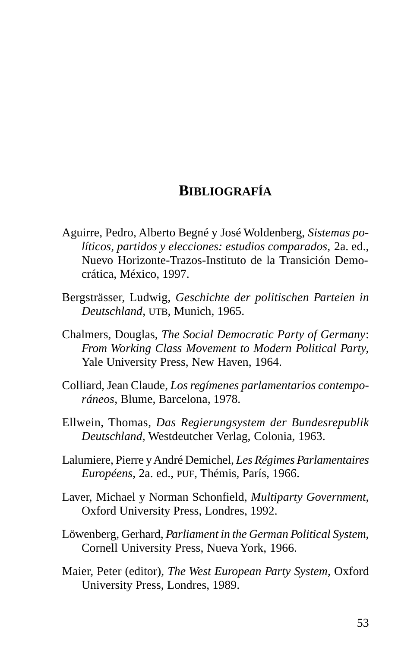## **BIBLIOGRAFÍA**

- Aguirre, Pedro, Alberto Begné y José Woldenberg, *Sistemas políticos, partidos y elecciones: estudios comparados,* 2a. ed., Nuevo Horizonte-Trazos-Instituto de la Transición Democrática, México, 1997.
- Bergsträsser, Ludwig, *Geschichte der politischen Parteien in Deutschland*, UTB, Munich, 1965.
- Chalmers, Douglas, *The Social Democratic Party of Germany*: *From Working Class Movement to Modern Political Party*, Yale University Press, New Haven, 1964.
- Colliard, Jean Claude, *Los regímenes parlamentarios contemporáneos*, Blume, Barcelona, 1978.
- Ellwein, Thomas, *Das Regierungsystem der Bundesrepublik Deutschland*, Westdeutcher Verlag, Colonia, 1963.
- Lalumiere, Pierre y André Demichel, *Les Régimes Parlamentaires Européens*, 2a. ed., PUF, Thémis, París, 1966.
- Laver, Michael y Norman Schonfield, *Multiparty Government*, Oxford University Press, Londres, 1992.
- Löwenberg, Gerhard, *Parliament in the German Political System*, Cornell University Press, Nueva York, 1966.
- Maier, Peter (editor), *The West European Party System*, Oxford University Press, Londres, 1989.